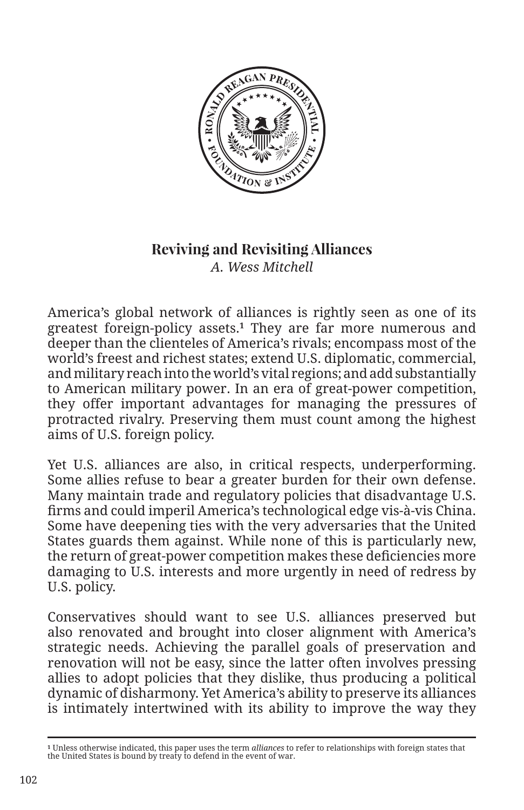

## **Reviving and Revisiting Alliances** *A. Wess Mitchell*

America's global network of alliances is rightly seen as one of its greatest foreign-policy assets.**1** They are far more numerous and deeper than the clienteles of America's rivals; encompass most of the world's freest and richest states; extend U.S. diplomatic, commercial, and military reach into the world's vital regions; and add substantially to American military power. In an era of great-power competition, they offer important advantages for managing the pressures of protracted rivalry. Preserving them must count among the highest aims of U.S. foreign policy.

Yet U.S. alliances are also, in critical respects, underperforming. Some allies refuse to bear a greater burden for their own defense. Many maintain trade and regulatory policies that disadvantage U.S. firms and could imperil America's technological edge vis-à-vis China. Some have deepening ties with the very adversaries that the United States guards them against. While none of this is particularly new, the return of great-power competition makes these deficiencies more damaging to U.S. interests and more urgently in need of redress by U.S. policy.

Conservatives should want to see U.S. alliances preserved but also renovated and brought into closer alignment with America's strategic needs. Achieving the parallel goals of preservation and renovation will not be easy, since the latter often involves pressing allies to adopt policies that they dislike, thus producing a political dynamic of disharmony. Yet America's ability to preserve its alliances is intimately intertwined with its ability to improve the way they

**<sup>1</sup>** Unless otherwise indicated, this paper uses the term *alliances* to refer to relationships with foreign states that the United States is bound by treaty to defend in the event of war.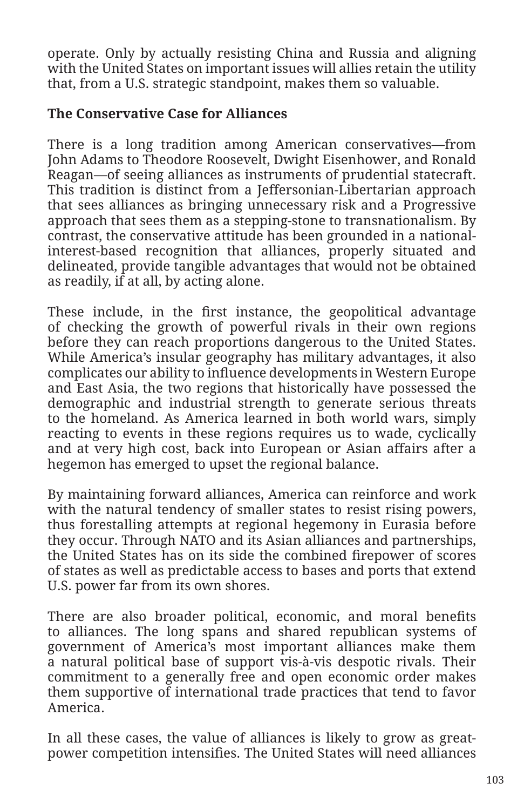operate. Only by actually resisting China and Russia and aligning with the United States on important issues will allies retain the utility that, from a U.S. strategic standpoint, makes them so valuable.

## **The Conservative Case for Alliances**

There is a long tradition among American conservatives—from John Adams to Theodore Roosevelt, Dwight Eisenhower, and Ronald Reagan—of seeing alliances as instruments of prudential statecraft. This tradition is distinct from a Jeffersonian-Libertarian approach that sees alliances as bringing unnecessary risk and a Progressive approach that sees them as a stepping-stone to transnationalism. By contrast, the conservative attitude has been grounded in a nationalinterest-based recognition that alliances, properly situated and delineated, provide tangible advantages that would not be obtained as readily, if at all, by acting alone.

These include, in the first instance, the geopolitical advantage of checking the growth of powerful rivals in their own regions before they can reach proportions dangerous to the United States. While America's insular geography has military advantages, it also complicates our ability to influence developments in Western Europe and East Asia, the two regions that historically have possessed the demographic and industrial strength to generate serious threats to the homeland. As America learned in both world wars, simply reacting to events in these regions requires us to wade, cyclically and at very high cost, back into European or Asian affairs after a hegemon has emerged to upset the regional balance.

By maintaining forward alliances, America can reinforce and work with the natural tendency of smaller states to resist rising powers, thus forestalling attempts at regional hegemony in Eurasia before they occur. Through NATO and its Asian alliances and partnerships, the United States has on its side the combined firepower of scores of states as well as predictable access to bases and ports that extend U.S. power far from its own shores.

There are also broader political, economic, and moral benefits to alliances. The long spans and shared republican systems of government of America's most important alliances make them a natural political base of support vis-à-vis despotic rivals. Their commitment to a generally free and open economic order makes them supportive of international trade practices that tend to favor America.

In all these cases, the value of alliances is likely to grow as greatpower competition intensifies. The United States will need alliances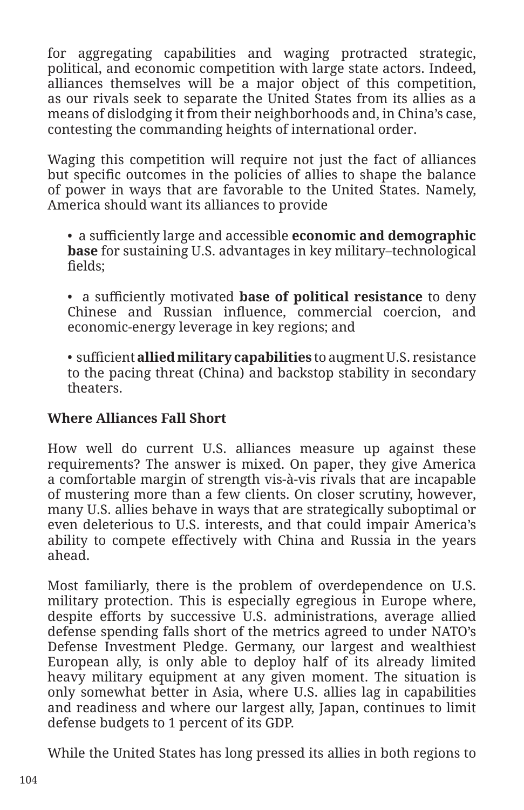for aggregating capabilities and waging protracted strategic, political, and economic competition with large state actors. Indeed, alliances themselves will be a major object of this competition, as our rivals seek to separate the United States from its allies as a means of dislodging it from their neighborhoods and, in China's case, contesting the commanding heights of international order.

Waging this competition will require not just the fact of alliances but specific outcomes in the policies of allies to shape the balance of power in ways that are favorable to the United States. Namely, America should want its alliances to provide

• a sufficiently large and accessible **economic and demographic base** for sustaining U.S. advantages in key military–technological fields;

• a sufficiently motivated **base of political resistance** to deny Chinese and Russian influence, commercial coercion, and economic-energy leverage in key regions; and

• sufficient **allied military capabilities** to augment U.S. resistance to the pacing threat (China) and backstop stability in secondary theaters.

## **Where Alliances Fall Short**

How well do current U.S. alliances measure up against these requirements? The answer is mixed. On paper, they give America a comfortable margin of strength vis-à-vis rivals that are incapable of mustering more than a few clients. On closer scrutiny, however, many U.S. allies behave in ways that are strategically suboptimal or even deleterious to U.S. interests, and that could impair America's ability to compete effectively with China and Russia in the years ahead.

Most familiarly, there is the problem of overdependence on U.S. military protection. This is especially egregious in Europe where, despite efforts by successive U.S. administrations, average allied defense spending falls short of the metrics agreed to under NATO's Defense Investment Pledge. Germany, our largest and wealthiest European ally, is only able to deploy half of its already limited heavy military equipment at any given moment. The situation is only somewhat better in Asia, where U.S. allies lag in capabilities and readiness and where our largest ally, Japan, continues to limit defense budgets to 1 percent of its GDP.

While the United States has long pressed its allies in both regions to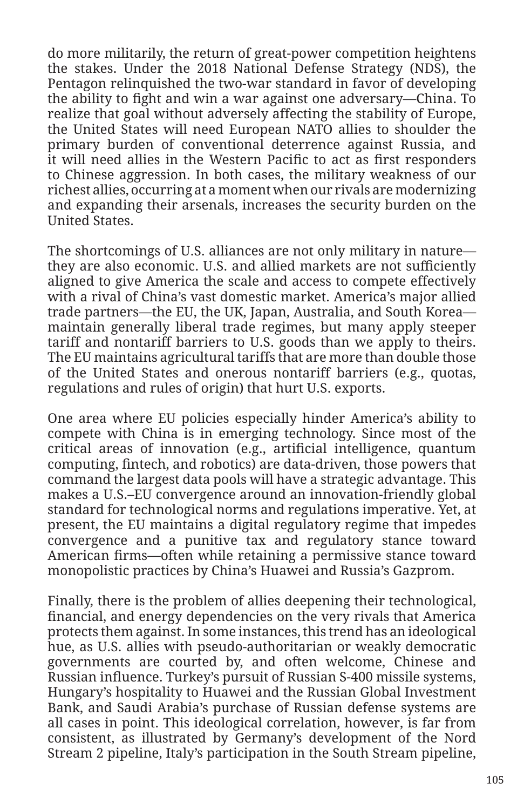do more militarily, the return of great-power competition heightens the stakes. Under the 2018 National Defense Strategy (NDS), the Pentagon relinquished the two-war standard in favor of developing the ability to fight and win a war against one adversary—China. To realize that goal without adversely affecting the stability of Europe, the United States will need European NATO allies to shoulder the primary burden of conventional deterrence against Russia, and it will need allies in the Western Pacific to act as first responders to Chinese aggression. In both cases, the military weakness of our richest allies, occurring at a moment when our rivals are modernizing and expanding their arsenals, increases the security burden on the United States.

The shortcomings of U.S. alliances are not only military in nature they are also economic. U.S. and allied markets are not sufficiently aligned to give America the scale and access to compete effectively with a rival of China's vast domestic market. America's major allied trade partners—the EU, the UK, Japan, Australia, and South Korea maintain generally liberal trade regimes, but many apply steeper tariff and nontariff barriers to U.S. goods than we apply to theirs. The EU maintains agricultural tariffs that are more than double those of the United States and onerous nontariff barriers (e.g., quotas, regulations and rules of origin) that hurt U.S. exports.

One area where EU policies especially hinder America's ability to compete with China is in emerging technology. Since most of the critical areas of innovation (e.g., artificial intelligence, quantum computing, fintech, and robotics) are data-driven, those powers that command the largest data pools will have a strategic advantage. This makes a U.S.–EU convergence around an innovation-friendly global standard for technological norms and regulations imperative. Yet, at present, the EU maintains a digital regulatory regime that impedes convergence and a punitive tax and regulatory stance toward American firms—often while retaining a permissive stance toward monopolistic practices by China's Huawei and Russia's Gazprom.

Finally, there is the problem of allies deepening their technological, financial, and energy dependencies on the very rivals that America protects them against. In some instances, this trend has an ideological hue, as U.S. allies with pseudo-authoritarian or weakly democratic governments are courted by, and often welcome, Chinese and Russian influence. Turkey's pursuit of Russian S-400 missile systems, Hungary's hospitality to Huawei and the Russian Global Investment Bank, and Saudi Arabia's purchase of Russian defense systems are all cases in point. This ideological correlation, however, is far from consistent, as illustrated by Germany's development of the Nord Stream 2 pipeline, Italy's participation in the South Stream pipeline,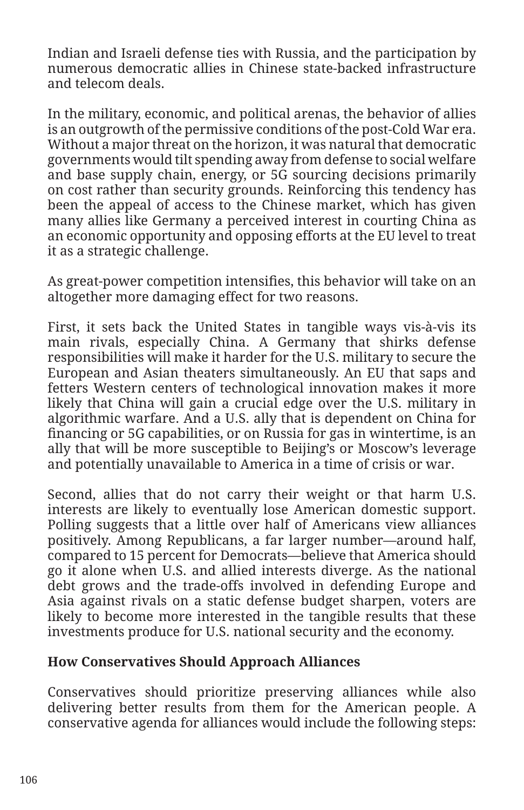Indian and Israeli defense ties with Russia, and the participation by numerous democratic allies in Chinese state-backed infrastructure and telecom deals.

In the military, economic, and political arenas, the behavior of allies is an outgrowth of the permissive conditions of the post-Cold War era. Without a major threat on the horizon, it was natural that democratic governments would tilt spending away from defense to social welfare and base supply chain, energy, or 5G sourcing decisions primarily on cost rather than security grounds. Reinforcing this tendency has been the appeal of access to the Chinese market, which has given many allies like Germany a perceived interest in courting China as an economic opportunity and opposing efforts at the EU level to treat it as a strategic challenge.

As great-power competition intensifies, this behavior will take on an altogether more damaging effect for two reasons.

First, it sets back the United States in tangible ways vis-à-vis its main rivals, especially China. A Germany that shirks defense responsibilities will make it harder for the U.S. military to secure the European and Asian theaters simultaneously. An EU that saps and fetters Western centers of technological innovation makes it more likely that China will gain a crucial edge over the U.S. military in algorithmic warfare. And a U.S. ally that is dependent on China for financing or 5G capabilities, or on Russia for gas in wintertime, is an ally that will be more susceptible to Beijing's or Moscow's leverage and potentially unavailable to America in a time of crisis or war.

Second, allies that do not carry their weight or that harm U.S. interests are likely to eventually lose American domestic support. Polling suggests that a little over half of Americans view alliances positively. Among Republicans, a far larger number—around half, compared to 15 percent for Democrats—believe that America should go it alone when U.S. and allied interests diverge. As the national debt grows and the trade-offs involved in defending Europe and Asia against rivals on a static defense budget sharpen, voters are likely to become more interested in the tangible results that these investments produce for U.S. national security and the economy.

## **How Conservatives Should Approach Alliances**

Conservatives should prioritize preserving alliances while also delivering better results from them for the American people. A conservative agenda for alliances would include the following steps: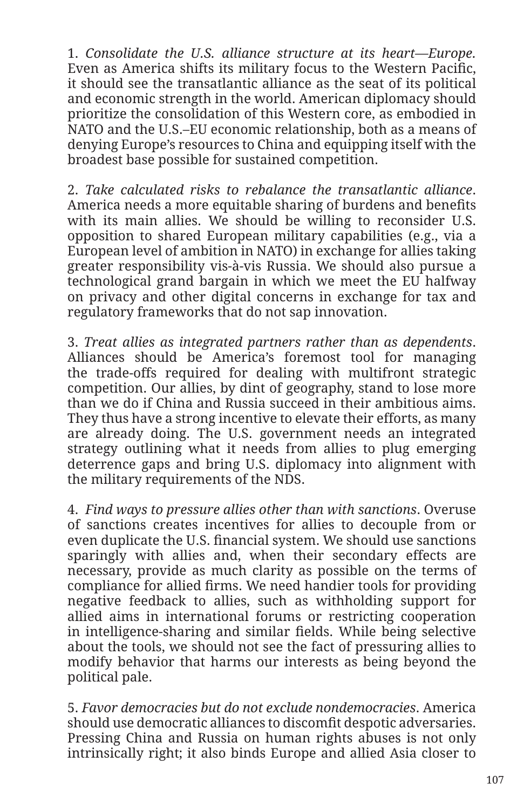1. *Consolidate the U.S. alliance structure at its heart—Europe.*  Even as America shifts its military focus to the Western Pacific, it should see the transatlantic alliance as the seat of its political and economic strength in the world. American diplomacy should prioritize the consolidation of this Western core, as embodied in NATO and the U.S.–EU economic relationship, both as a means of denying Europe's resources to China and equipping itself with the broadest base possible for sustained competition.

2. *Take calculated risks to rebalance the transatlantic alliance*. America needs a more equitable sharing of burdens and benefits with its main allies. We should be willing to reconsider U.S. opposition to shared European military capabilities (e.g., via a European level of ambition in NATO) in exchange for allies taking greater responsibility vis-à-vis Russia. We should also pursue a technological grand bargain in which we meet the EU halfway on privacy and other digital concerns in exchange for tax and regulatory frameworks that do not sap innovation.

3. *Treat allies as integrated partners rather than as dependents*. Alliances should be America's foremost tool for managing the trade-offs required for dealing with multifront strategic competition. Our allies, by dint of geography, stand to lose more than we do if China and Russia succeed in their ambitious aims. They thus have a strong incentive to elevate their efforts, as many are already doing. The U.S. government needs an integrated strategy outlining what it needs from allies to plug emerging deterrence gaps and bring U.S. diplomacy into alignment with the military requirements of the NDS.

4. *Find ways to pressure allies other than with sanctions*. Overuse of sanctions creates incentives for allies to decouple from or even duplicate the U.S. financial system. We should use sanctions sparingly with allies and, when their secondary effects are necessary, provide as much clarity as possible on the terms of compliance for allied firms. We need handier tools for providing negative feedback to allies, such as withholding support for allied aims in international forums or restricting cooperation in intelligence-sharing and similar fields. While being selective about the tools, we should not see the fact of pressuring allies to modify behavior that harms our interests as being beyond the political pale.

5. *Favor democracies but do not exclude nondemocracies*. America should use democratic alliances to discomfit despotic adversaries. Pressing China and Russia on human rights abuses is not only intrinsically right; it also binds Europe and allied Asia closer to